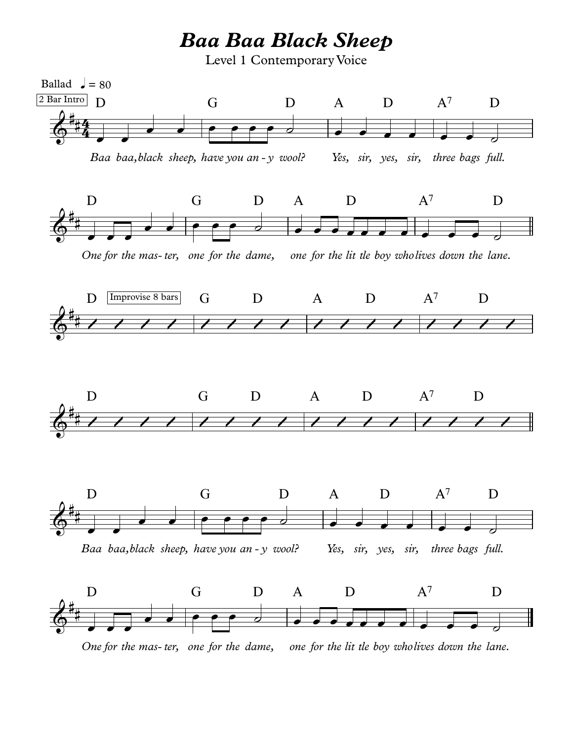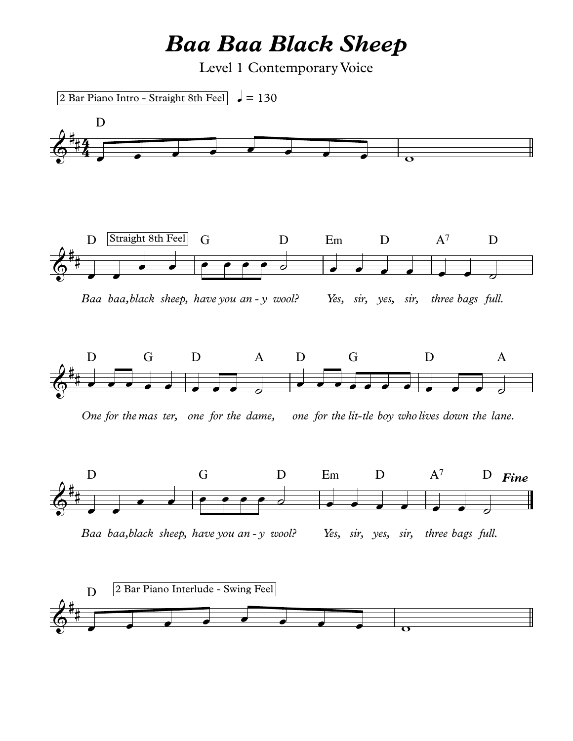## *Baa Baa Black Sheep*

Level 1 Contemporary Voice

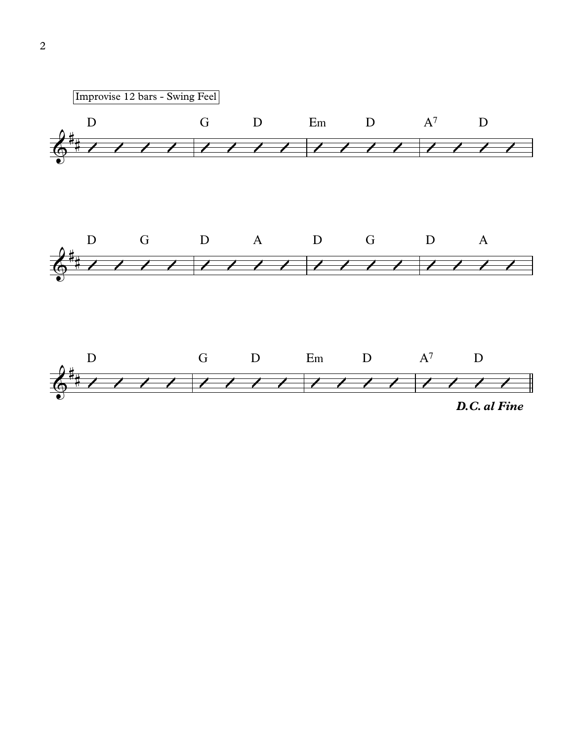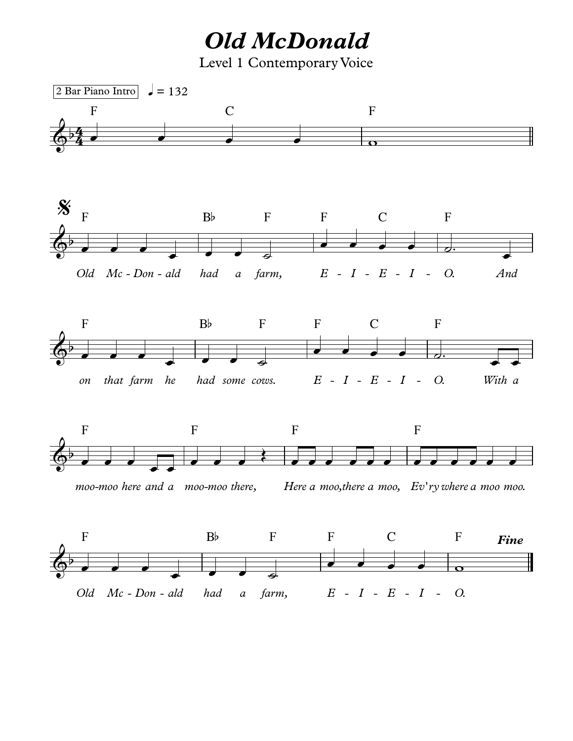*Old McDonald* Level 1 Contemporary Voice

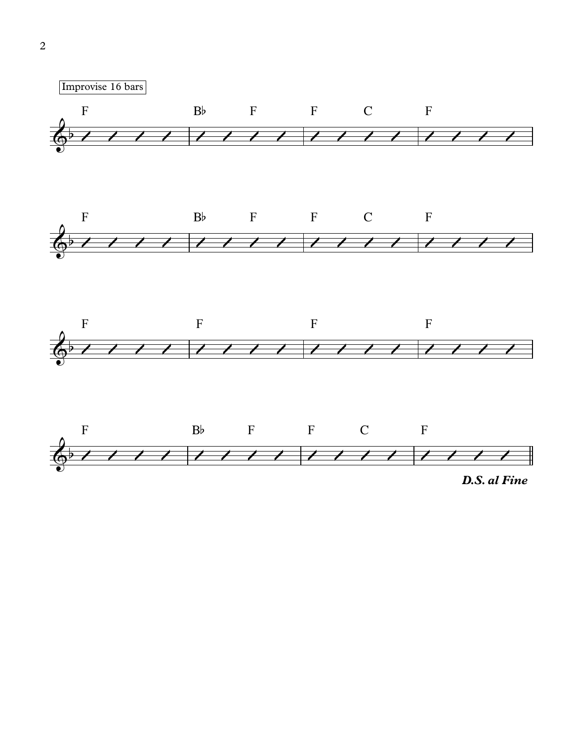

*D.S. al Fine*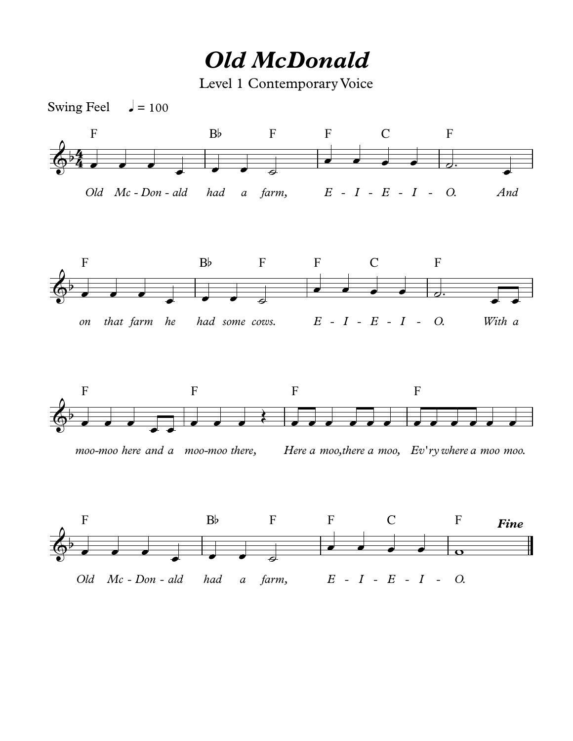## *Old McDonald*

Level 1 Contemporary Voice



*moo* -*moo here and a moo* -*moo there, Here*

*a moo,there a moo, Ev' rywhere a moo moo.*

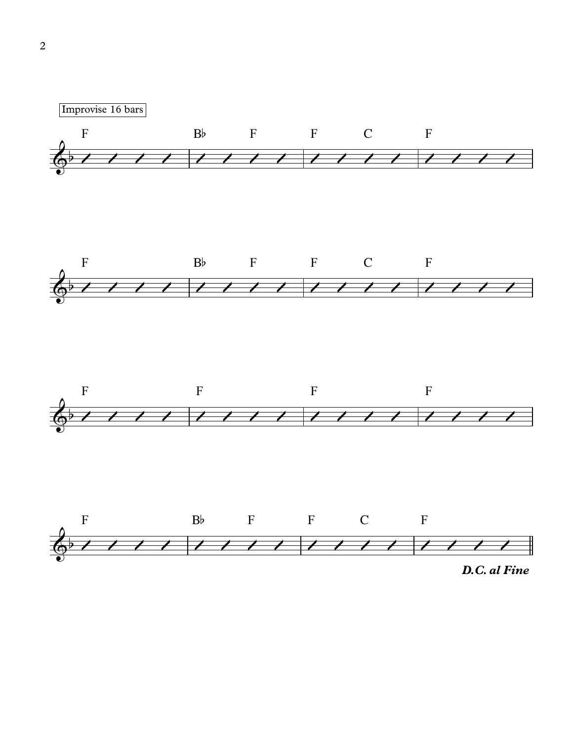







*D.C. al Fine*